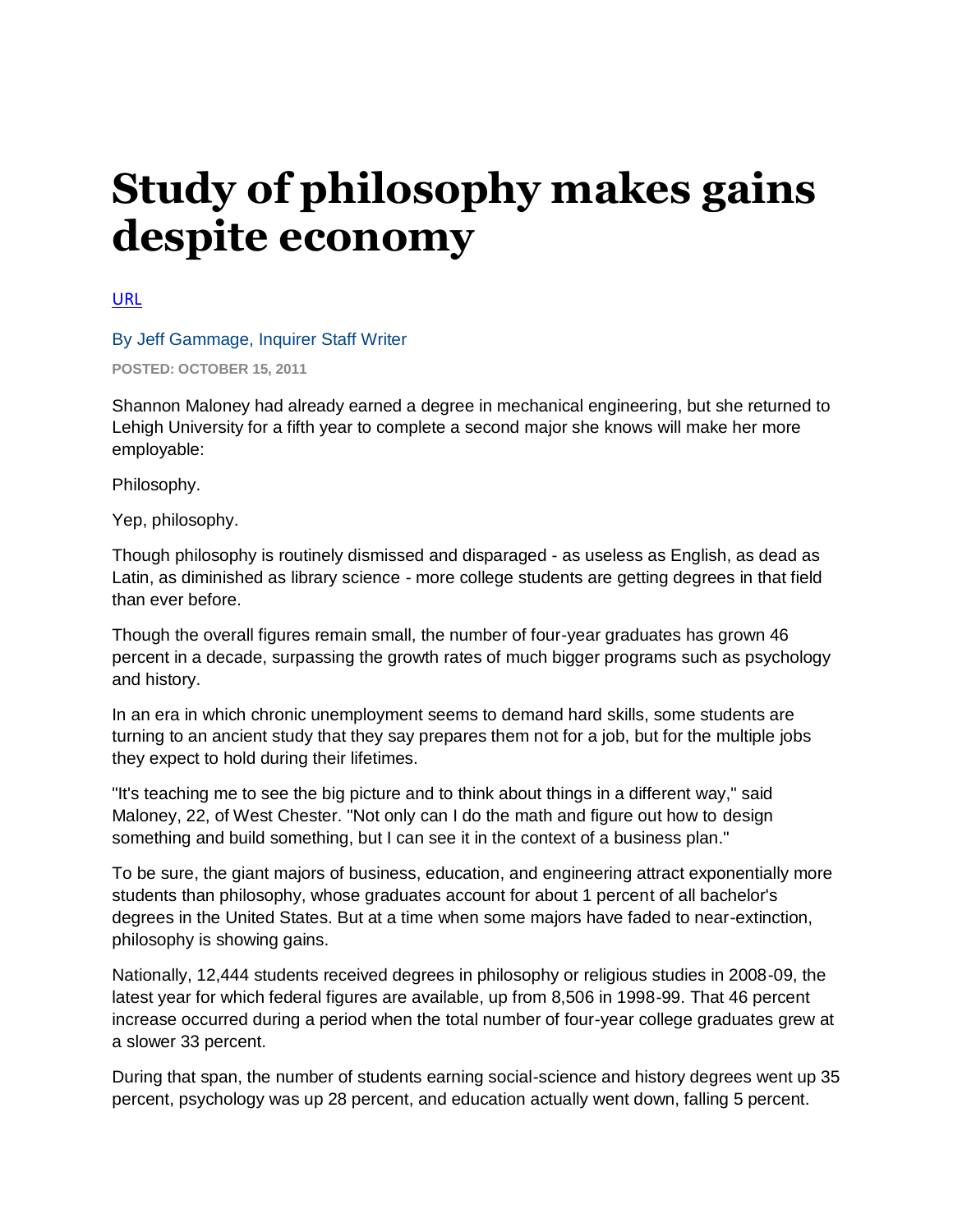## **Study of philosophy makes gains despite economy**

[URL](http://articles.philly.com/2011-10-15/news/30283702_1_philosophy-number-of-four-year-graduates-college-students)

## By Jeff Gammage, Inquirer Staff Writer

**POSTED: OCTOBER 15, 2011**

Shannon Maloney had already earned a degree in mechanical engineering, but she returned to Lehigh University for a fifth year to complete a second major she knows will make her more employable:

Philosophy.

Yep, philosophy.

Though philosophy is routinely dismissed and disparaged - as useless as English, as dead as Latin, as diminished as library science - more college students are getting degrees in that field than ever before.

Though the overall figures remain small, the number of four-year graduates has grown 46 percent in a decade, surpassing the growth rates of much bigger programs such as psychology and history.

In an era in which chronic unemployment seems to demand hard skills, some students are turning to an ancient study that they say prepares them not for a job, but for the multiple jobs they expect to hold during their lifetimes.

"It's teaching me to see the big picture and to think about things in a different way," said Maloney, 22, of West Chester. "Not only can I do the math and figure out how to design something and build something, but I can see it in the context of a business plan."

To be sure, the giant majors of business, education, and engineering attract exponentially more students than philosophy, whose graduates account for about 1 percent of all bachelor's degrees in the United States. But at a time when some majors have faded to near-extinction, philosophy is showing gains.

Nationally, 12,444 students received degrees in philosophy or religious studies in 2008-09, the latest year for which federal figures are available, up from 8,506 in 1998-99. That 46 percent increase occurred during a period when the total number of four-year college graduates grew at a slower 33 percent.

During that span, the number of students earning social-science and history degrees went up 35 percent, psychology was up 28 percent, and education actually went down, falling 5 percent.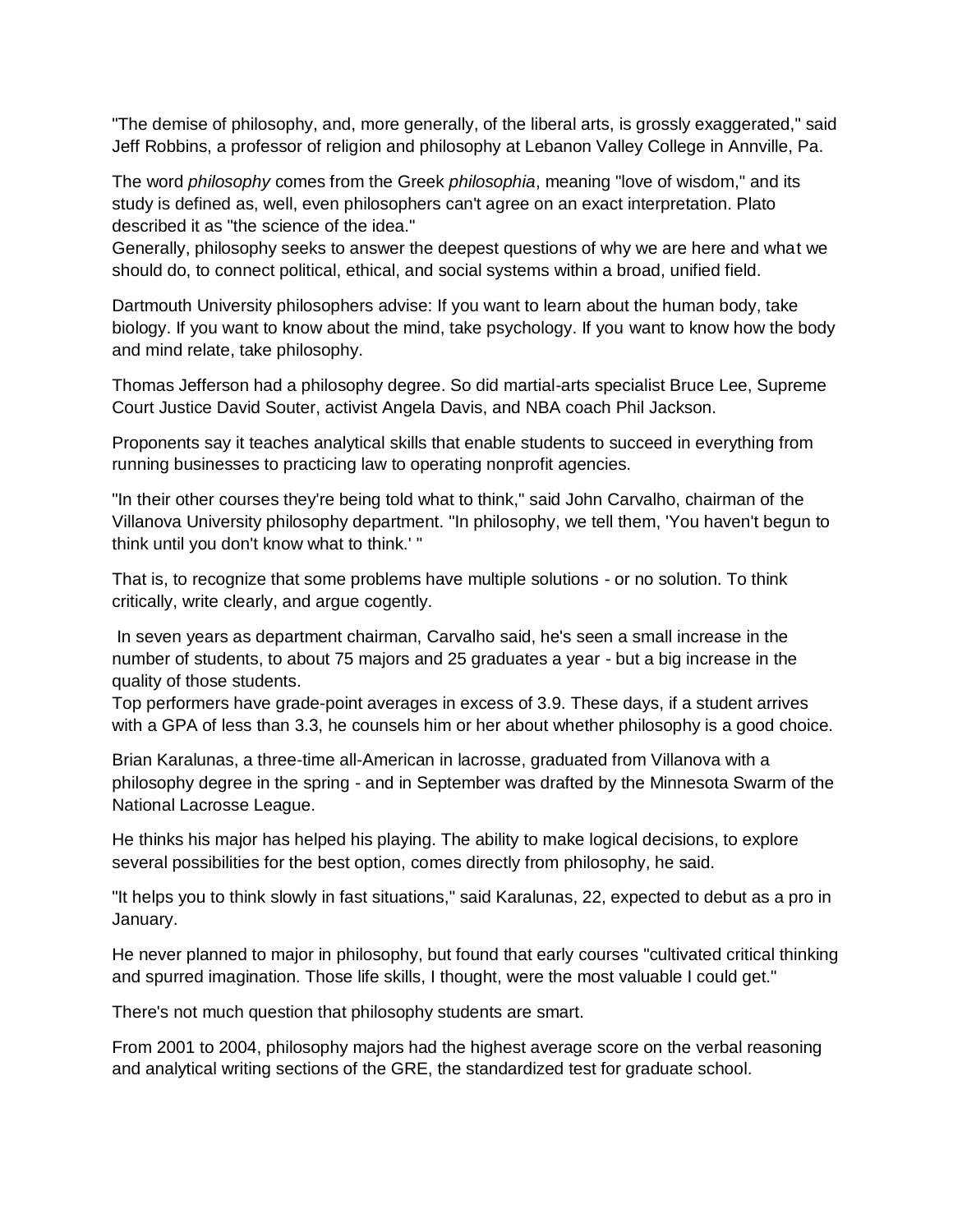"The demise of philosophy, and, more generally, of the liberal arts, is grossly exaggerated," said Jeff Robbins, a professor of religion and philosophy at Lebanon Valley College in Annville, Pa.

The word *philosophy* comes from the Greek *philosophia*, meaning "love of wisdom," and its study is defined as, well, even philosophers can't agree on an exact interpretation. Plato described it as "the science of the idea."

Generally, philosophy seeks to answer the deepest questions of why we are here and what we should do, to connect political, ethical, and social systems within a broad, unified field.

Dartmouth University philosophers advise: If you want to learn about the human body, take biology. If you want to know about the mind, take psychology. If you want to know how the body and mind relate, take philosophy.

Thomas Jefferson had a philosophy degree. So did martial-arts specialist Bruce Lee, Supreme Court Justice David Souter, activist Angela Davis, and NBA coach Phil Jackson.

Proponents say it teaches analytical skills that enable students to succeed in everything from running businesses to practicing law to operating nonprofit agencies.

"In their other courses they're being told what to think," said John Carvalho, chairman of the Villanova University philosophy department. "In philosophy, we tell them, 'You haven't begun to think until you don't know what to think.' "

That is, to recognize that some problems have multiple solutions - or no solution. To think critically, write clearly, and argue cogently.

In seven years as department chairman, Carvalho said, he's seen a small increase in the number of students, to about 75 majors and 25 graduates a year - but a big increase in the quality of those students.

Top performers have grade-point averages in excess of 3.9. These days, if a student arrives with a GPA of less than 3.3, he counsels him or her about whether philosophy is a good choice.

Brian Karalunas, a three-time all-American in lacrosse, graduated from Villanova with a philosophy degree in the spring - and in September was drafted by the Minnesota Swarm of the National Lacrosse League.

He thinks his major has helped his playing. The ability to make logical decisions, to explore several possibilities for the best option, comes directly from philosophy, he said.

"It helps you to think slowly in fast situations," said Karalunas, 22, expected to debut as a pro in January.

He never planned to major in philosophy, but found that early courses "cultivated critical thinking and spurred imagination. Those life skills, I thought, were the most valuable I could get."

There's not much question that philosophy students are smart.

From 2001 to 2004, philosophy majors had the highest average score on the verbal reasoning and analytical writing sections of the GRE, the standardized test for graduate school.